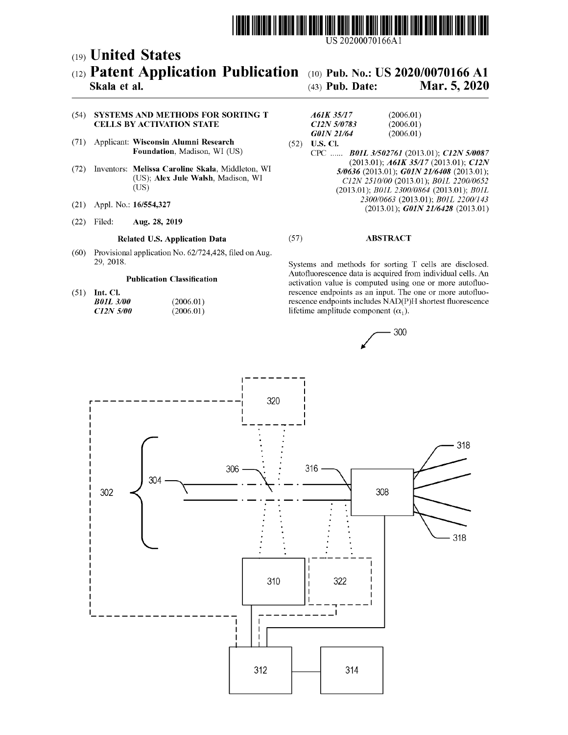

US 20200070166Al

# c19) **United States**  c12) **Patent Application Publication**  c10) **Pub.** No.: US **2020/0070166 Al**

## **Skala et al.**

(43) **Pub. Date: Mar. 5, 2020** 

### (54) SYSTEMS AND METHODS FOR SORTING T CELLS BY ACTIVATION STATE

- (71) Applicant: **Wisconsin Alumni Research Foundation,** Madison, WI (US)
- (72) Inventors: **Melissa Caroline Skala,** Middleton, WI (US); **Alex Jule Walsh,** Madison, WI (US)
- 
- (22) Filed: **Aug. 28, 2019**

(60) Provisional application No. 62/724,428, filed on Aug.

#### **Publication Classification**

(51) **Int. Cl.**  *BOIL 3/00 C12N 5100*  (2006.01) (2006.01)

#### *A61K 35/17 C12N 510783 GOIN 21164*  (2006.01) (2006.01) (2006.01)

(52) **U.S. Cl.**  CPC ...... *BOIL 3/502761* (2013.01); *C12N 510087*  (2013.01); *A61K 35/17* (2013.01); *C12N 510636* (2013.01); *GOIN 2116408* (2013.01); *Cl2N 2510/00* (2013.01); *BOIL 2200/0652*  (2013.01); *BOIL 2300/0864* (2013.01); *BOIL 2300/0663* (2013.01); *BOIL 2200/143*  (21) Appl. No.: **16/554,327** 2500/0005 (2013.01); *GOIN 21/6428* (2013.01)

### **Related U.S. Application Data** (57) **ABSTRACT**

29, 2018. Systems and methods for sorting T cells are disclosed. Autofluorescence data is acquired from individual cells. An activation value is computed using one or more autofluorescence endpoints as an input. The one or more autofluorescence endpoints includes NAD(P)H shortest fluorescence lifetime amplitude component  $(\alpha_1)$ .



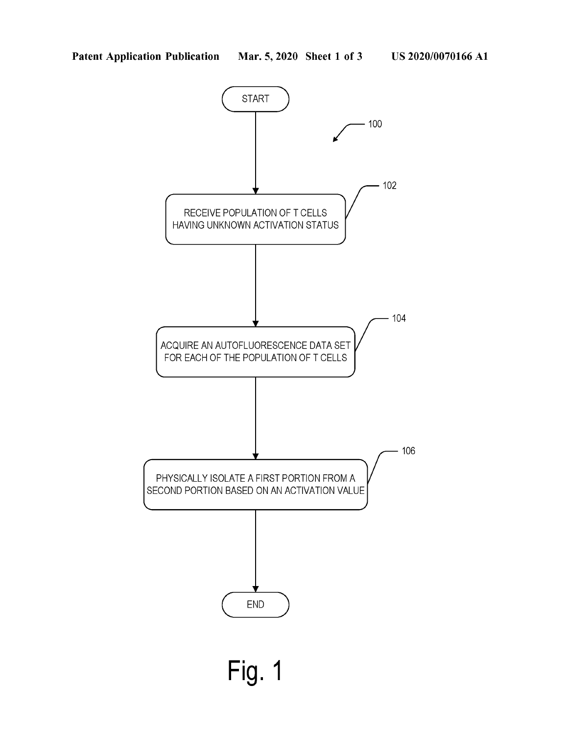

**Fig. 1**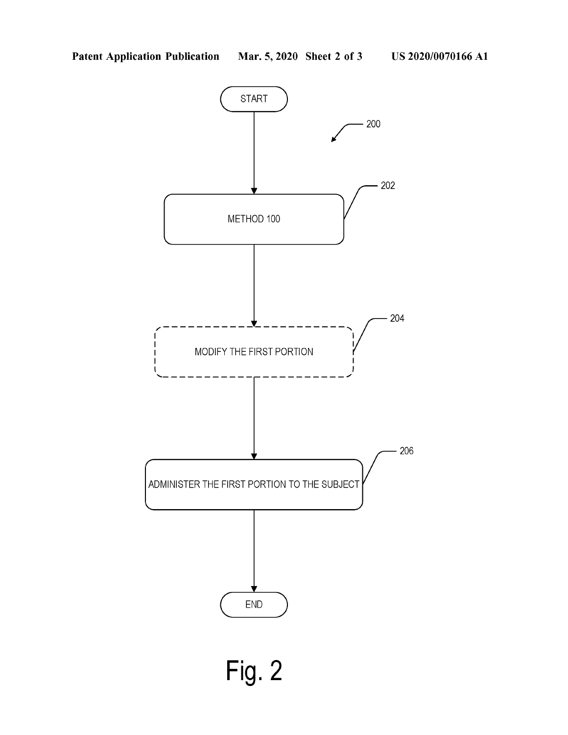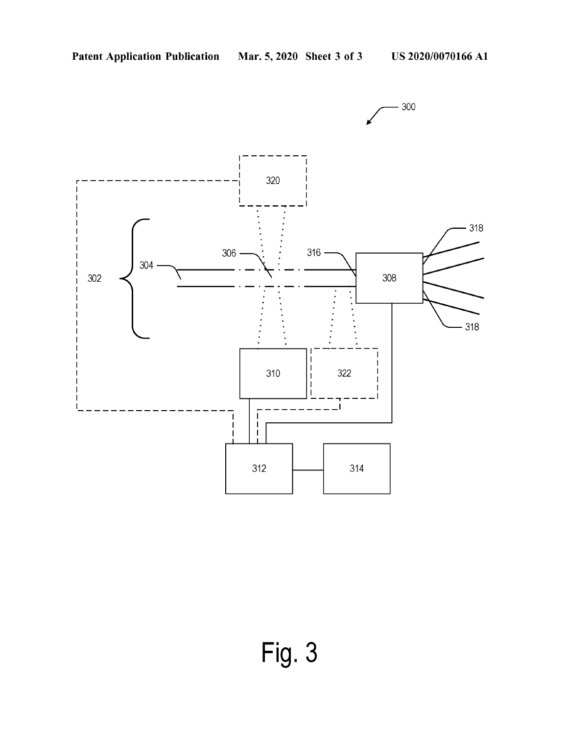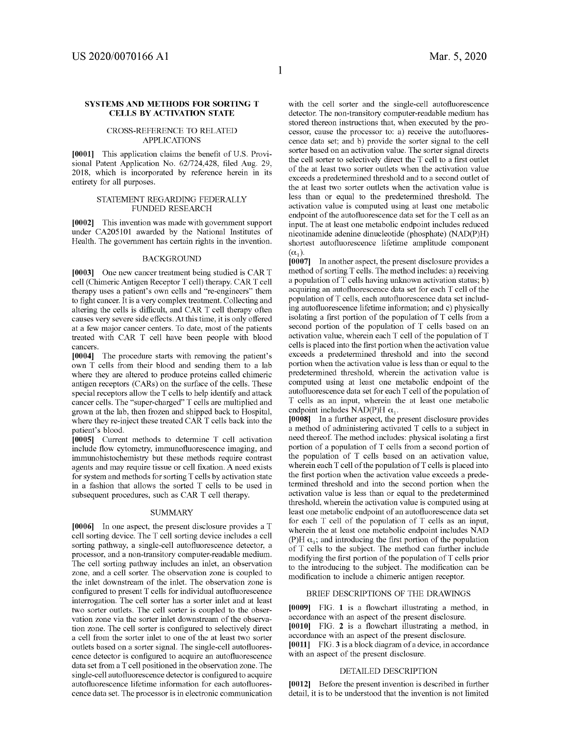#### **SYSTEMS AND METHODS FOR SORTING T CELLS BY ACTIVATION STATE**

#### CROSS-REFERENCE TO RELATED APPLICATIONS

**[0001]** This application claims the benefit of U.S. Provisional Patent Application No. 62/724,428, filed Aug. 29, 2018, which is incorporated by reference herein in its entirety for all purposes.

#### STATEMENT REGARDING FEDERALLY FUNDED RESEARCH

**[0002]** This invention was made with govermnent support under CA205101 awarded by the National Institutes of Health. The govermnent has certain rights in the invention.

#### **BACKGROUND**

**[0003]** One new cancer treatment being studied is CART cell (Chimeric Antigen Receptor T cell) therapy. CART cell therapy uses a patient's own cells and "re-engineers" them to fight cancer. It is a very complex treatment. Collecting and altering the cells is difficult, and CAR T cell therapy often causes very severe side effects. At this time, it is only offered at a few major cancer centers. To date, most of the patients treated with CAR T cell have been people with blood cancers.

**[0004]** The procedure starts with removing the patient's own T cells from their blood and sending them to a lab where they are altered to produce proteins called chimeric antigen receptors (CARs) on the surface of the cells. These special receptors allow the T cells to help identify and attack cancer cells. The "super-charged" T cells are multiplied and grown at the lab, then frozen and shipped back to Hospital, where they re-inject these treated CAR T cells back into the patient's blood.

**[0005]** Current methods to determine T cell activation include flow cytometry, immunofluorescence imaging, and immunohistochemistry but these methods require contrast agents and may require tissue or cell fixation. A need exists for system and methods for sorting T cells by activation state in a fashion that allows the sorted T cells to be used in subsequent procedures, such as CAR T cell therapy.

#### SUMMARY

**[0006]** In one aspect, the present disclosure provides a T cell sorting device. The T cell sorting device includes a cell sorting pathway, a single-cell autofluorescence detector, a processor, and a non-transitory computer-readable medium. The cell sorting pathway includes an inlet, an observation zone, and a cell sorter. The observation zone is coupled to the inlet downstream of the inlet. The observation zone is configured to present T cells for individual autofluorescence interrogation. The cell sorter has a sorter inlet and at least two sorter outlets. The cell sorter is coupled to the observation zone via the sorter inlet downstream of the observation zone. The cell sorter is configured to selectively direct a cell from the sorter inlet to one of the at least two sorter outlets based on a sorter signal. The single-cell autofluorescence detector is configured to acquire an autofluorescence data set from a T cell positioned in the observation zone. The single-cell autofluorescence detector is configured to acquire autofluorescence lifetime information for each autofluorescence data set. The processor is in electronic communication with the cell sorter and the single-cell autofluorescence detector. The non-transitory computer-readable medium has stored thereon instructions that, when executed by the processor, cause the processor to: a) receive the autofluorescence data set; and b) provide the sorter signal to the cell sorter based on an activation value. The sorter signal directs the cell sorter to selectively direct the T cell to a first outlet of the at least two sorter outlets when the activation value exceeds a predetermined threshold and to a second outlet of the at least two sorter outlets when the activation value is less than or equal to the predetermined threshold. The activation value is computed using at least one metabolic endpoint of the autofluorescence data set for the T cell as an input. The at least one metabolic endpoint includes reduced nicotinamide adenine dinucleotide (phosphate) (NAD(P)H) shortest autofluorescence lifetime amplitude component  $(\alpha_1)$ .

**[0007]** In another aspect, the present disclosure provides a method of sorting T cells. The method includes: a) receiving a population of T cells having unknown activation status; b) acquiring an autofluorescence data set for each T cell of the population of T cells, each autofluorescence data set including autofluorescence lifetime information; and c) physically isolating a first portion of the population of T cells from a second portion of the population of T cells based on an activation value, wherein each T cell of the population of T cells is placed into the first portion when the activation value exceeds a predetermined threshold and into the second portion when the activation value is less than or equal to the predetermined threshold, wherein the activation value is computed using at least one metabolic endpoint of the autofluorescence data set for each T cell of the population of T cells as an input, wherein the at least one metabolic endpoint includes NAD(P)H  $\alpha_1$ .

**[0008]** In a further aspect, the present disclosure provides a method of administering activated T cells to a subject in need thereof. The method includes: physical isolating a first portion of a population of T cells from a second portion of the population of T cells based on an activation value, wherein each  $T$  cell of the population of  $T$  cells is placed into the first portion when the activation value exceeds a predetermined threshold and into the second portion when the activation value is less than or equal to the predetermined threshold, wherein the activation value is computed using at least one metabolic endpoint of an autofluorescence data set for each T cell of the population of T cells as an input, wherein the at least one metabolic endpoint includes NAD (P)H  $\alpha_1$ ; and introducing the first portion of the population of T cells to the subject. The method can further include modifying the first portion of the population of T cells prior to the introducing to the subject. The modification can be modification to include a chimeric antigen receptor.

#### BRIEF DESCRIPTIONS OF THE DRAWINGS

**[0009]** FIG. **1** is a flowchart illustrating a method, m accordance with an aspect of the present disclosure. **[0010]** FIG. **2** is a flowchart illustrating a method, m accordance with an aspect of the present disclosure. **[0011]** FIG. **3** is a block diagram of a device, in accordance with an aspect of the present disclosure.

### DETAILED DESCRIPTION

**[0012]** Before the present invention is described in further detail, it is to be understood that the invention is not limited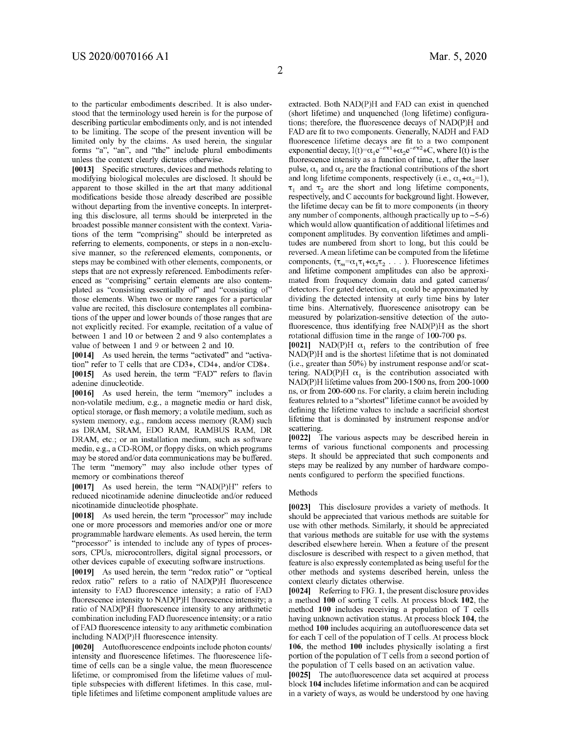to the particular embodiments described. It is also understood that the terminology used herein is for the purpose of describing particular embodiments only, and is not intended to be limiting. The scope of the present invention will be limited only by the claims. As used herein, the singular forms "a", "an", and "the" include plural embodiments unless the context clearly dictates otherwise.

**[0013]** Specific structures, devices and methods relating to modifying biological molecules are disclosed. It should be apparent to those skilled in the art that many additional modifications beside those already described are possible without departing from the inventive concepts. In interpreting this disclosure, all terms should be interpreted in the broadest possible manner consistent with the context. Variations of the term "comprising" should be interpreted as referring to elements, components, or steps in a non-exclusive manner, so the referenced elements, components, or steps may be combined with other elements, components, or steps that are not expressly referenced. Embodiments referenced as "comprising" certain elements are also contemplated as "consisting essentially of" and "consisting of" those elements. When two or more ranges for a particular value are recited, this disclosure contemplates all combinations of the upper and lower bounds of those ranges that are not explicitly recited. For example, recitation of a value of between 1 and 10 or between 2 and 9 also contemplates a value of between 1 and 9 or between 2 and 10.

**[0014]** As used herein, the terms "activated" and "activation" refer to T cells that are CD3+, CD4+, and/or CDS+. **[0015]** As used herein, the term "FAD" refers to flavin adenine dinucleotide.

**[0016]** As used herein, the term "memory" includes a non-volatile medium, e.g., a magnetic media or hard disk, optical storage, or flash memory; a volatile medium, such as system memory, e.g., random access memory (RAM) such as DRAM, SRAM, EDO RAM, RAMBUS RAM, DR DRAM, etc.; or an installation medium, such as software media, e.g., a CD-ROM, or floppy disks, on which programs may be stored and/or data communications may be buffered. The term "memory" may also include other types of memory or combinations thereof

**[0017]** As used herein, the term "NAD(P)H" refers to reduced nicotinamide adenine dinucleotide and/or reduced nicotinamide dinucleotide phosphate.

**[0018]** As used herein, the term "processor" may include one or more processors and memories and/or one or more programmable hardware elements. As used herein, the term "processor" is intended to include any of types of processors, CPUs, microcontrollers, digital signal processors, or other devices capable of executing software instructions.

**[0019]** As used herein, the term "redox ratio" or "optical redox ratio" refers to a ratio of NAD(P)H fluorescence intensity to FAD fluorescence intensity; a ratio of FAD fluorescence intensity to NAD(P)H fluorescence intensity; a ratio of NAD(P)H fluorescence intensity to any arithmetic combination including FAD fluorescence intensity; or a ratio of FAD fluorescence intensity to any arithmetic combination including NAD(P)H fluorescence intensity.

**[0020]** Autofluorescence endpoints include photon counts/ intensity and fluorescence lifetimes. The fluorescence lifetime of cells can be a single value, the mean fluorescence lifetime, or compromised from the lifetime values of multiple subspecies with different lifetimes. In this case, multiple lifetimes and lifetime component amplitude values are extracted. Both NAD(P)H and FAD can exist in quenched (short lifetime) and unquenched (long lifetime) configurations; therefore, the fluorescence decays of NAD(P)H and FAD are fit to two components. Generally, NADH and FAD fluorescence lifetime decays are fit to a two component exponential decay,  $I(t)=\alpha_1 e^{-t/\tau_1}+\alpha_2 e^{-t/\tau_2}+C$ , where  $I(t)$  is the fluorescence intensity as a function of time, t, after the laser pulse,  $\alpha_1$  and  $\alpha_2$  are the fractional contributions of the short and long lifetime components, respectively (i.e.,  $\alpha_1 + \alpha_2 = 1$ ),  $\tau_1$  and  $\tau_2$  are the short and long lifetime components, respectively, and C accounts for background light. However, the lifetime decay can be fit to more components (in theory any number of components, although practically up to  $\sim$  5-6) which would allow quantification of additional lifetimes and component amplitudes. By convention lifetimes and amplitudes are numbered from short to long, but this could be reversed. A mean lifetime can be computed from the lifetime components,  $(\tau_m=\alpha_1\tau_1+\alpha_2\tau_2 \dots)$ . Fluorescence lifetimes and lifetime component amplitudes can also be approximated from frequency domain data and gated cameras/ detectors. For gated detection,  $\alpha_1$  could be approximated by dividing the detected intensity at early time bins by later time bins. Alternatively, fluorescence anisotropy can be measured by polarization-sensitive detection of the autofluorescence, thus identifying free NAD(P)H as the short rotational diffusion time in the range of 100-700 ps.

[0021] NAD(P)H  $\alpha_1$  refers to the contribution of free NAD(P)H and is the shortest lifetime that is not dominated (i.e., greater than 50%) by instrument response and/or scattering. NAD(P)H  $\alpha_1$  is the contribution associated with NAD(P)H lifetime values from 200-1500 ns, from 200-1000 ns, or from 200-600 ns. For clarity, a claim herein including features related to a "shortest" lifetime cannot be avoided by defining the lifetime values to include a sacrificial shortest lifetime that is dominated by instrument response and/or scattering.

**[0022]** The various aspects may be described herein in terms of various functional components and processing steps. It should be appreciated that such components and steps may be realized by any number of hardware components configured to perform the specified functions.

#### Methods

**[0023]** This disclosure provides a variety of methods. It should be appreciated that various methods are suitable for use with other methods. Similarly, it should be appreciated that various methods are suitable for use with the systems described elsewhere herein. When a feature of the present disclosure is described with respect to a given method, that feature is also expressly contemplated as being useful for the other methods and systems described herein, unless the context clearly dictates otherwise.

**[0024]** Referring to FIG. **1,** the present disclosure provides a method **100** of sorting T cells. At process block **102,** the method **100** includes receiving a population of T cells having unknown activation status. At process block **104,** the method **100** includes acquiring an autofluorescence data set for each T cell of the population of T cells. At process block **106,** the method **100** includes physically isolating a first portion of the population of T cells from a second portion of the population of T cells based on an activation value.

**[0025]** The autofluorescence data set acquired at process block **104** includes lifetime information and can be acquired in a variety of ways, as would be understood by one having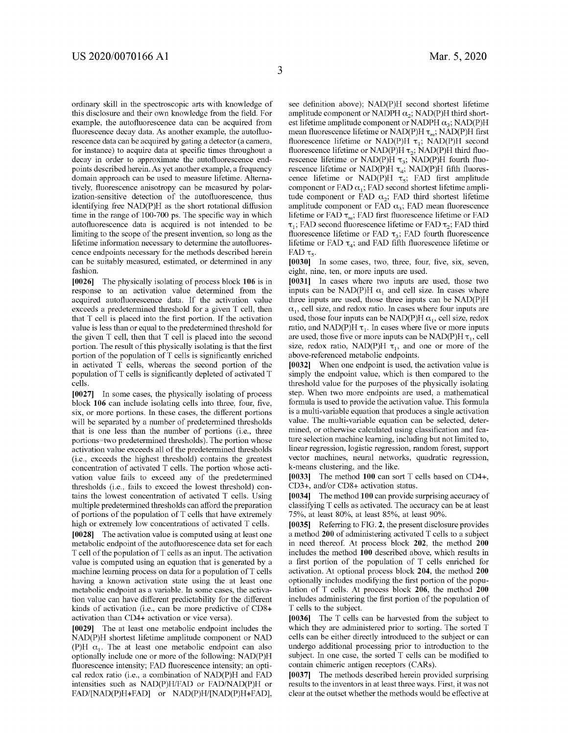ordinary skill in the spectroscopic arts with knowledge of this disclosure and their own knowledge from the field. For example, the autofluorescence data can be acquired from fluorescence decay data. As another example, the autofluorescence data can be acquired by gating a detector (a camera, for instance) to acquire data at specific times throughout a decay in order to approximate the autofluorescence endpoints described herein. As yet another example, a frequency domain approach can be used to measure lifetime. Alternatively, fluorescence anisotropy can be measured by polarization-sensitive detection of the autofluorescence, thus identifying free NAD(P)H as the short rotational diffusion time in the range of 100-700 ps. The specific way in which autofluorescence data is acquired is not intended to be limiting to the scope of the present invention, so long as the lifetime information necessary to determine the autofluorescence endpoints necessary for the methods described herein can be suitably measured, estimated, or determined in any fashion.

**[0026]** The physically isolating of process block **106** is in response to an activation value determined from the acquired autofluorescence data. If the activation value exceeds a predetermined threshold for a given T cell, then that T cell is placed into the first portion. If the activation value is less than or equal to the predetermined threshold for the given T cell, then that T cell is placed into the second portion. The result of this physically isolating is that the first portion of the population of T cells is significantly enriched in activated T cells, whereas the second portion of the population of T cells is significantly depleted of activated T cells.

**[0027]** In some cases, the physically isolating of process block **106** can include isolating cells into three, four, five, six, or more portions. In these cases, the different portions will be separated by a number of predetermined thresholds that is one less than the number of portions (i.e., three portions=two predetermined thresholds). The portion whose activation value exceeds all of the predetermined thresholds (i.e., exceeds the highest threshold) contains the greatest concentration of activated T cells. The portion whose activation value fails to exceed any of the predetermined thresholds (i.e., fails to exceed the lowest threshold) contains the lowest concentration of activated T cells. Using multiple predetermined thresholds can afford the preparation of portions of the population of T cells that have extremely high or extremely low concentrations of activated T cells. **[0028]** The activation value is computed using at least one

metabolic endpoint of the autofluorescence data set for each T cell of the population of T cells as an input. The activation value is computed using an equation that is generated by a machine learning process on data for a population of T cells having a known activation state using the at least one metabolic endpoint as a variable. In some cases, the activation value can have different predictability for the different kinds of activation (i.e., can be more predictive of CDS+ activation than CD4+ activation or vice versa).

**[0029]** The at least one metabolic endpoint includes the NAD(P)H shortest lifetime amplitude component or NAD (P)H  $\alpha_1$ . The at least one metabolic endpoint can also optionally include one or more of the following: NAD(P)H fluorescence intensity; FAD fluorescence intensity; an optical redox ratio (i.e., a combination of NAD(P)H and FAD intensities such as NAD(P)H/FAD or FAD/NAD(P)H or FAD/[NAD(P)H+FAD] or NAD(P)H/[NAD(P)H+FAD], see definition above); NAD(P)H second shortest lifetime amplitude component or NADPH  $\alpha_2$ ; NAD(P)H third shortest lifetime amplitude component or NADPH  $\alpha_3$ ; NAD(P)H mean fluorescence lifetime or NAD(P)H  $\tau_m$ ; NAD(P)H first fluorescence lifetime or NAD(P)H  $\tau_1$ ; NAD(P)H second fluorescence lifetime or NAD(P)H  $\tau_2$ ; NAD(P)H third fluorescence lifetime or NAD(P)H  $\tau_3$ ; NAD(P)H fourth fluorescence lifetime or NAD(P)H  $\tau_4$ ; NAD(P)H fifth fluorescence lifetime or NAD(P)H  $\tau_s$ ; FAD first amplitude component or FAD  $\alpha_1$ ; FAD second shortest lifetime amplitude component or FAD  $\alpha_2$ ; FAD third shortest lifetime amplitude component or FAD  $\alpha_3$ ; FAD mean fluorescence lifetime or FAD  $\tau_m$ ; FAD first fluorescence lifetime or FAD  $\tau_1$ ; FAD second fluorescence lifetime or FAD  $\tau_2$ ; FAD third fluorescence lifetime or FAD  $\tau_3$ ; FAD fourth fluorescence lifetime or FAD  $\tau_4$ ; and FAD fifth fluorescence lifetime or FAD  $\tau_{s}$ .

**[0030]** In some cases, two, three, four, five, six, seven, eight, nine, ten, or more inputs are used.

**[0031]** In cases where two inputs are used, those two inputs can be NAD(P)H  $\alpha_1$  and cell size. In cases where three inputs are used, those three inputs can be NAD(P)H  $\alpha_1$ , cell size, and redox ratio. In cases where four inputs are used, those four inputs can be NAD(P)H  $\alpha_1$ , cell size, redox ratio, and NAD(P)H  $\tau_1$ . In cases where five or more inputs are used, those five or more inputs can be NAD(P)H $\tau_1$ , cell size, redox ratio, NAD(P)H  $\tau_1$ , and one or more of the above-referenced metabolic endpoints.

**[0032]** When one endpoint is used, the activation value is simply the endpoint value, which is then compared to the threshold value for the purposes of the physically isolating step. When two more endpoints are used, a mathematical formula is used to provide the activation value. This formula is a multi-variable equation that produces a single activation value. The multi-variable equation can be selected, determined, or otherwise calculated using classification and feature selection machine learning, including but not limited to, linear regression, logistic regression, random forest, support vector machines, neural networks, quadratic regression, k-means clustering, and the like.

**[0033]** The method **100** can sort T cells based on CD4+, CD3+, and/or CDS+ activation status.

**[0034]** The method **100** can provide surprising accuracy of classifying T cells as activated. The accuracy can be at least 75%, at least SO%, at least S5%, at least 90%.

**[0035]** Referring to FIG. **2,** the present disclosure provides a method **200** of administering activated T cells to a subject in need thereof. At process block **202,** the method **200**  includes the method **100** described above, which results in a first portion of the population of T cells enriched for activation. At optional process block **204,** the method **200**  optionally includes modifying the first portion of the population of T cells. At process block **206,** the method **200**  includes administering the first portion of the population of T cells to the subject.

**[0036]** The T cells can be harvested from the subject to which they are administered prior to sorting. The sorted T cells can be either directly introduced to the subject or can undergo additional processing prior to introduction to the subject. In one case, the sorted T cells can be modified to contain chimeric antigen receptors (CARs).

**[0037]** The methods described herein provided surprising results to the inventors in at least three ways. First, it was not clear at the outset whether the methods would be effective at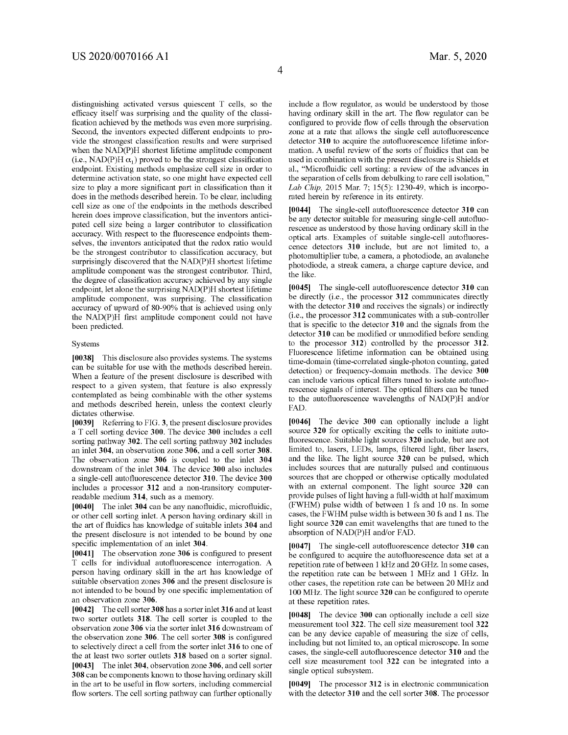distinguishing activated versus quiescent T cells, so the efficacy itself was surprising and the quality of the classification achieved by the methods was even more surprising. Second, the inventors expected different endpoints to provide the strongest classification results and were surprised when the NAD(P)H shortest lifetime amplitude component (i.e., NAD(P)H  $\alpha_1$ ) proved to be the strongest classification endpoint. Existing methods emphasize cell size in order to determine activation state, so one might have expected cell size to play a more significant part in classification than it does in the methods described herein. To be clear, including cell size as one of the endpoints in the methods described herein does improve classification, but the inventors anticipated cell size being a larger contributor to classification accuracy. With respect to the fluorescence endpoints themselves, the inventors anticipated that the redox ratio would be the strongest contributor to classification accuracy, but surprisingly discovered that the NAD(P)H shortest lifetime amplitude component was the strongest contributor. Third, the degree of classification accuracy achieved by any single endpoint, let alone the surprising NAD(P)H shortest lifetime amplitude component, was surprising. The classification accuracy of upward of 80-90% that is achieved using only the NAD(P)H first amplitude component could not have been predicted.

#### Systems

**[0038]** This disclosure also provides systems. The systems can be suitable for use with the methods described herein. When a feature of the present disclosure is described with respect to a given system, that feature is also expressly contemplated as being combinable with the other systems and methods described herein, unless the context clearly dictates otherwise.

**[0039]** Referring to FIG. **3,** the present disclosure provides a T cell sorting device **300.** The device **300** includes a cell sorting pathway **302.** The cell sorting pathway **302** includes an inlet **304,** an observation zone **306,** and a cell sorter **308.**  The observation zone **306** is coupled to the inlet **304**  downstream of the inlet **304.** The device **300** also includes a single-cell autofluorescence detector **310.** The device **300**  includes a processor **312** and a non-transitory computerreadable medium **314,** such as a memory.

**[0040]** The inlet **304** can be any nanofluidic, microfluidic, or other cell sorting inlet. A person having ordinary skill in the art of fluidics has knowledge of suitable inlets **304** and the present disclosure is not intended to be bound by one specific implementation of an inlet **304.** 

**[0041]** The observation zone **306** is configured to present T cells for individual autofluorescence interrogation. A person having ordinary skill in the art has knowledge of suitable observation zones **306** and the present disclosure is not intended to be bound by one specific implementation of an observation zone **306.** 

**[0042]** The cell sorter **308** has a sorter inlet **316** and at least two sorter outlets **318.** The cell sorter is coupled to the observation zone **306** via the sorter inlet **316** downstream of the observation zone **306.** The cell sorter **308** is configured to selectively direct a cell from the sorter inlet **316** to one of the at least two sorter outlets **318** based on a sorter signal. **[0043]** The inlet **304,** observation zone **306,** and cell sorter **308** can be components known to those having ordinary skill in the art to be useful in flow sorters, including commercial flow sorters. The cell sorting pathway can further optionally include a flow regulator, as would be understood by those having ordinary skill in the art. The flow regulator can be configured to provide flow of cells through the observation zone at a rate that allows the single cell autofluorescence detector **310** to acquire the autofluorescence lifetime information. A useful review of the sorts of fluidics that can be used in combination with the present disclosure is Shields et al., "Microfluidic cell sorting: a review of the advances in the separation of cells from debulking to rare cell isolation," *Lab Chip,* 2015 Mar. 7; 15(5): 1230-49, which is incorporated herein by reference in its entirety.

**[0044]** The single-cell autofluorescence detector **310** can be any detector suitable for measuring single-cell autofluorescence as understood by those having ordinary skill in the optical arts. Examples of suitable single-cell autofluorescence detectors **310** include, but are not limited to, a photomultiplier tube, a camera, a photodiode, an avalanche photodiode, a streak camera, a charge capture device, and the like.

**[0045]** The single-cell autofluorescence detector **310** can be directly (i.e., the processor **312** communicates directly with the detector **310** and receives the signals) or indirectly (i.e., the processor **312** communicates with a sub-controller that is specific to the detector **310** and the signals from the detector **310** can be modified or unmodified before sending to the processor **312)** controlled by the processor **312.**  Fluorescence lifetime information can be obtained using time-domain (time-correlated single-photon counting, gated detection) or frequency-domain methods. The device **300**  can include various optical filters tuned to isolate autofluorescence signals of interest. The optical filters can be tuned to the autofluorescence wavelengths of NAD(P)H and/or FAD.

**[0046]** The device **300** can optionally include a light source **320** for optically exciting the cells to initiate autofluorescence. Suitable light sources **320** include, but are not limited to, lasers, LEDs, lamps, filtered light, fiber lasers, and the like. The light source **320** can be pulsed, which includes sources that are naturally pulsed and continuous sources that are chopped or otherwise optically modulated with an external component. The light source **320** can provide pulses of light having a full-width at half maximum (FWHM) pulse width of between 1 fs and 10 ns. In some cases, the FWHM pulse width is between 30 fs and 1 ns. The light source **320** can emit wavelengths that are tuned to the absorption of NAD(P)H and/or FAD.

**[0047]** The single-cell autofluorescence detector **310** can be configured to acquire the autofluorescence data set at a repetition rate of between 1 kHz and 20 GHz. In some cases, the repetition rate can be between 1 MHz and 1 GHz. In other cases, the repetition rate can be between 20 MHz and 100 MHz. The light source **320** can be configured to operate at these repetition rates.

**[0048]** The device **300** can optionally include a cell size measurement tool **322.** The cell size measurement tool **322**  can be any device capable of measuring the size of cells, including but not limited to, an optical microscope. In some cases, the single-cell autofluorescence detector **310** and the cell size measurement tool **322** can be integrated into a single optical subsystem.

**[0049]** The processor **312** is in electronic communication with the detector **310** and the cell sorter **308.** The processor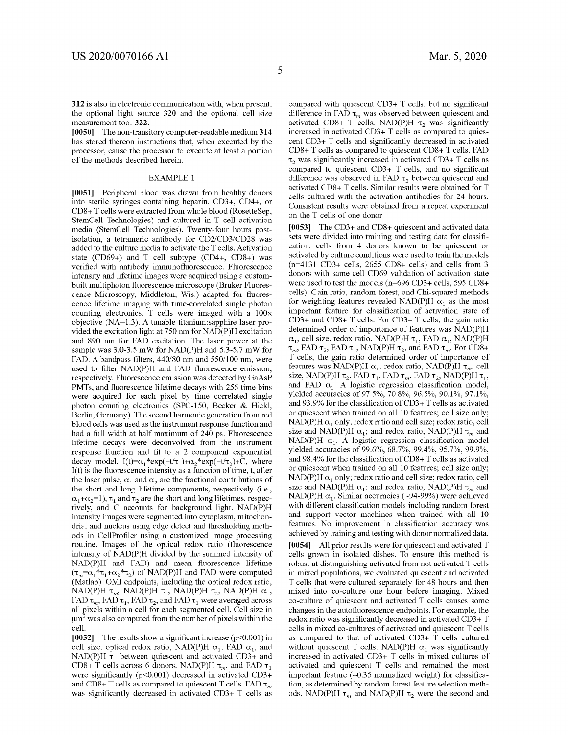**312** is also in electronic connnunication with, when present, the optional light source **320** and the optional cell size measurement tool **322.** 

**[0050]** The non-transitory computer-readable medium **314**  has stored thereon instructions that, when executed by the processor, cause the processor to execute at least a portion of the methods described herein.

#### EXAMPLE 1

**[0051]** Peripheral blood was drawn from healthy donors into sterile syringes containing heparin. CD3+, CD4+, or CDS+ T cells were extracted from whole blood (RosetteSep, Stem Cell Technologies) and cultured in T cell activation media (StemCell Technologies). Twenty-four hours postisolation, a tetrameric antibody for CD2/CD3/CD28 was added to the culture media to activate the T cells. Activation state (CD69+) and T cell subtype (CD4+, CDS+) was verified with antibody innnunofluorescence. Fluorescence intensity and lifetime images were acquired using a custombuilt multiphoton fluorescence microscope (Bruker Fluorescence Microscopy, Middleton, Wis.) adapted for fluorescence lifetime imaging with time-correlated single photon counting electronics. T cells were imaged with a  $100 \times$ objective (NA=l.3). A tunable titanium:sapphire laser provided the excitation light at 750 nm for NAD(P)H excitation and 890 nm for FAD excitation. The laser power at the sample was 3.0-3.5 mW for NAD(P)H and 5.3-5.7 mW for FAD. A bandpass filters, 440/80 nm and 550/100 nm, were used to filter NAD(P)H and FAD fluorescence emission, respectively. Fluorescence emission was detected by GaAsP PMTs, and fluorescence lifetime decays with 256 time bins were acquired for each pixel by time correlated single photon counting electronics (SPC-150, Becker & Hick!, Berlin, Germany). The second harmonic generation from red blood cells was used as the instrument response function and had a full width at half maximum of 240 ps. Fluorescence lifetime decays were deconvolved from the instrument response function and fit to a 2 component exponential decay model,  $I(t)=\alpha_1 * exp(-t/\tau_1)+\alpha_2 * exp(-t/\tau_2)+C$ , where I(t) is the fluorescence intensity as a function of time, t, after the laser pulse,  $\alpha_1$  and  $\alpha_2$  are the fractional contributions of the short and long lifetime components, respectively (i.e.,  $\alpha_1 + \alpha_2 = 1$ ,  $\tau_1$  and  $\tau_2$  are the short and long lifetimes, respectively, and C accounts for background light. NAD(P)H intensity images were segmented into cytoplasm, mitochondria, and nucleus using edge detect and thresholding methods in CellProfiler using a customized image processing routine. Images of the optical redox ratio (fluorescence intensity of NAD(P)H divided by the sunnned intensity of NAD(P)H and FAD) and mean fluorescence lifetime  $(\tau_m = \alpha_1^* \tau_1 + \alpha_2^* \tau_2)$  of NAD(P)H and FAD were computed (Matlab). OMI endpoints, including the optical redox ratio, NAD(P)H  $\tau_m$ , NAD(P)H  $\tau_1$ , NAD(P)H  $\tau_2$ , NAD(P)H  $\alpha_1$ , FAD  $\tau_m$ , FAD  $\tau_1$ , FAD  $\tau_2$ , and FAD  $\tau_1$  were averaged across all pixels within a cell for each segmented cell. Cell size in  $\mu$ m<sup>2</sup> was also computed from the number of pixels within the cell.

**[0052]** The results show a significant increase (p<0.001) in cell size, optical redox ratio, NAD(P)H  $\alpha_1$ , FAD  $\alpha_1$ , and NAD(P)H  $\tau_1$  between quiescent and activated CD3+ and CD8+ T cells across 6 donors. NAD(P)H  $\tau_m$ , and FAD  $\tau_1$ . were significantly (p<0.001) decreased in activated CD3+ and CD8+ T cells as compared to quiescent T cells. FAD  $\tau_m$ was significantly decreased in activated CD3+ T cells as

compared with quiescent CD3+ T cells, but no significant difference in FAD  $\tau_m$  was observed between quiescent and activated CD8+ T cells. NAD(P)H  $\tau_2$  was significantly increased in activated CD3+ T cells as compared to quiescent CD3+ T cells and significantly decreased in activated CDS+ T cells as compared to quiescent CDS+ T cells. FAD  $\tau$ , was significantly increased in activated CD3+ T cells as compared to quiescent CD3+ T cells, and no significant difference was observed in FAD  $\tau_2$  between quiescent and activated CDS+ T cells. Similar results were obtained for T cells cultured with the activation antibodies for 24 hours. Consistent results were obtained from a repeat experiment on the T cells of one donor

**[0053]** The CD3+ and CDS+ quiescent and activated data sets were divided into training and testing data for classification: cells from 4 donors known to be quiescent or activated by culture conditions were used to train the models (n=4131 CD3+ cells, 2655 CDS+ cells) and cells from 3 donors with same-cell CD69 validation of activation state were used to test the models (n=696 CD3+ cells, 595 CDS+ cells). Gain ratio, random forest, and Chi-squared methods for weighting features revealed NAD(P)H  $\alpha_1$  as the most important feature for classification of activation state of CD3+ and CDS+ T cells. For CD3+ T cells, the gain ratio determined order of importance of features was NAD(P)H  $\alpha_1$ , cell size, redox ratio, NAD(P)H  $\tau_1$ , FAD  $\alpha_1$ , NAD(P)H  $\tau_m$ , FAD  $\tau_2$ , FAD  $\tau_1$ , NAD(P)H  $\tau_2$ , and FAD  $\tau_m$ . For CD8+ T cells, the gain ratio determined order of importance of features was NAD(P)H  $\alpha_1$ , redox ratio, NAD(P)H  $\tau_m$ , cell size, NAD(P)H $\tau_2,$  FAD  $\tau_1,$  FAD  $\tau_m,$  FAD  $\tau_2,$  NAD(P)H  $\tau_1,$ and FAD  $\alpha_1$ . A logistic regression classification model, yielded accuracies of 97.5%, 70.8%, 96.5%, 90.1%, 97.1%, and 93.9% for the classification of CD3+ T cells as activated or quiescent when trained on all 10 features; cell size only; NAD(P)H  $\alpha_1$  only; redox ratio and cell size; redox ratio, cell size and NAD(P)H  $\alpha_1$ ; and redox ratio, NAD(P)H  $\tau_m$  and NAD(P)H  $\alpha_1$ . A logistic regression classification model yielded accuracies of 99.6%, 68.7%, 99.4%, 95.7%, 99.9%, and 98.4% for the classification of CDS+ T cells as activated or quiescent when trained on all 10 features; cell size only;  $NAD(P)H \alpha_1$  only; redox ratio and cell size; redox ratio, cell size and NAD(P)H  $\alpha_1$ ; and redox ratio, NAD(P)H  $\tau_m$  and NAD(P)H  $\alpha_1$ . Similar accuracies (~94-99%) were achieved with different classification models including random forest and support vector machines when trained with all 10 features. No improvement in classification accuracy was achieved by training and testing with donor normalized data.

**[0054]** All prior results were for quiescent and activated T cells grown in isolated dishes. To ensure this method is robust at distinguishing activated from not activated T cells in mixed populations, we evaluated quiescent and activated T cells that were cultured separately for 48 hours and then mixed into co-culture one hour before imaging. Mixed co-culture of quiescent and activated T cells causes some changes in the autofluorescence endpoints. For example, the redox ratio was significantly decreased in activated CD3+ T cells in mixed co-cultures of activated and quiescent T cells as compared to that of activated CD3+  $\bar{T}$  cells cultured without quiescent T cells. NAD(P)H  $\alpha_1$  was significantly increased in activated CD3+ T cells in mixed cultures of activated and quiescent T cells and remained the most important feature  $(-0.35$  normalized weight) for classification, as determined by random forest feature selection methods. NAD(P)H  $\tau_m$  and NAD(P)H  $\tau_2$  were the second and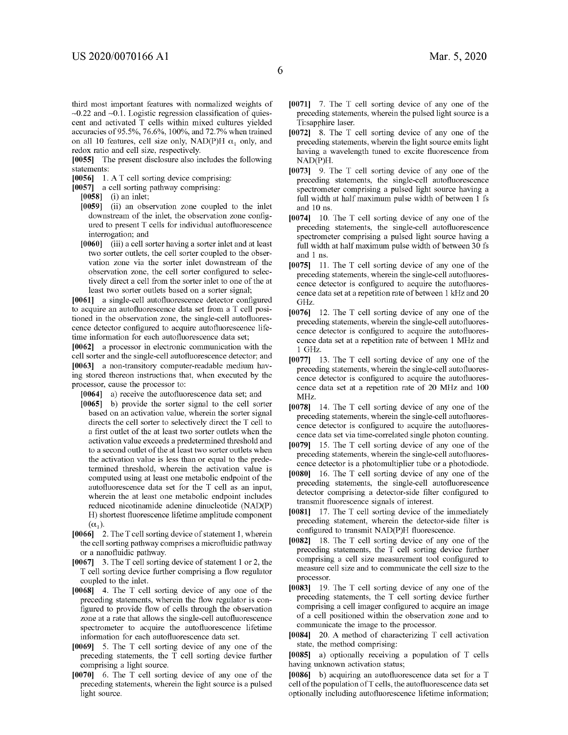**[0055]** The present disclosure also includes the following statements:

**[0056]** 1. AT cell sorting device comprising:

**[0057]** a cell sorting pathway comprising:

redox ratio and cell size, respectively.

**[0058]** (i) an inlet;

- **[0059]** (ii) an observation zone coupled to the inlet downstream of the inlet, the observation zone configured to present T cells for individual autofluorescence interrogation; and
- **[0060]** (iii) a cell sorter having a sorter inlet and at least two sorter outlets, the cell sorter coupled to the observation zone via the sorter inlet downstream of the observation zone, the cell sorter configured to selectively direct a cell from the sorter inlet to one of the at least two sorter outlets based on a sorter signal;

**[0061]** a single-cell autofluorescence detector configured to acquire an autofluorescence data set from a T cell positioned in the observation zone, the single-cell autofluorescence detector configured to acquire autofluorescence lifetime information for each autofluorescence data set;

**[0062]** a processor in electronic communication with the cell sorter and the single-cell autofluorescence detector; and **[0063]** a non-transitory computer-readable medium having stored thereon instructions that, when executed by the processor, cause the processor to:

**[0064]** a) receive the autofluorescence data set; and

- **[0065]** b) provide the sorter signal to the cell sorter based on an activation value, wherein the sorter signal directs the cell sorter to selectively direct the T cell to a first outlet of the at least two sorter outlets when the activation value exceeds a predetermined threshold and to a second outlet of the at least two sorter outlets when the activation value is less than or equal to the predetermined threshold, wherein the activation value is computed using at least one metabolic endpoint of the autofluorescence data set for the T cell as an input, wherein the at least one metabolic endpoint includes reduced nicotinamide adenine dinucleotide (NAD(P) H) shortest fluorescence lifetime amplitude component  $(\alpha_1)$ .
- **[0066]** 2. The T cell sorting device of statement 1, wherein the cell sorting pathway comprises a microfluidic pathway or a nanofluidic pathway.
- **[0067]** 3. The T cell sorting device of statement 1 or 2, the T cell sorting device further comprising a flow regulator coupled to the inlet.
- **[0068]** 4. The T cell sorting device of any one of the preceding statements, wherein the flow regulator is configured to provide flow of cells through the observation zone at a rate that allows the single-cell autofluorescence spectrometer to acquire the autofluorescence lifetime information for each autofluorescence data set.
- **[0069]** 5. The T cell sorting device of any one of the preceding statements, the T cell sorting device further comprising a light source.
- **[0070]** 6. The T cell sorting device of any one of the preceding statements, wherein the light source is a pulsed light source.
- **[0071]** 7. The T cell sorting device of any one of the preceding statements, wherein the pulsed light source is a Ti:sapphire laser.
- **[0072]** 8. The T cell sorting device of any one of the preceding statements, wherein the light source emits light having a wavelength tuned to excite fluorescence from NAD(P)H.
- **[0073]** 9. The T cell sorting device of any one of the preceding statements, the single-cell autofluorescence spectrometer comprising a pulsed light source having a full width at half maximum pulse width of between 1 fs and 10 ns.
- **[0074]** 10. The T cell sorting device of any one of the preceding statements, the single-cell autofluorescence spectrometer comprising a pulsed light source having a full width at half maximum pulse width of between 30 fs and 1 ns.
- **[0075]** 11. The T cell sorting device of any one of the preceding statements, wherein the single-cell autofluorescence detector is configured to acquire the autofluorescence data set at a repetition rate of between 1 kHz and 20 GHz.
- **[0076]** 12. The T cell sorting device of any one of the preceding statements, wherein the single-cell autofluorescence detector is configured to acquire the autofluorescence data set at a repetition rate of between 1 MHz and 1 GHz.
- **[0077]** 13. The T cell sorting device of any one of the preceding statements, wherein the single-cell autofluorescence detector is configured to acquire the autofluorescence data set at a repetition rate of 20 MHz and 100 MHz.
- **[0078]** 14. The T cell sorting device of any one of the preceding statements, wherein the single-cell autofluorescence detector is configured to acquire the autofluorescence data set via time-correlated single photon counting.
- **[0079]** 15. The T cell sorting device of any one of the preceding statements, wherein the single-cell autofluorescence detector is a photomultiplier tube or a photodiode.
- **[0080]** 16. The T cell sorting device of any one of the preceding statements, the single-cell autofluorescence detector comprising a detector-side filter configured to transmit fluorescence signals of interest.
- **[0081]** 17. The T cell sorting device of the immediately preceding statement, wherein the detector-side filter is configured to transmit NAD(P)H fluorescence.
- **[0082]** 18. The T cell sorting device of any one of the preceding statements, the T cell sorting device further comprising a cell size measurement tool configured to measure cell size and to communicate the cell size to the processor.
- **[0083]** 19. The T cell sorting device of any one of the preceding statements, the T cell sorting device further comprising a cell imager configured to acquire an image of a cell positioned within the observation zone and to communicate the image to the processor.
- **[0084]** 20. A method of characterizing T cell activation state, the method comprising:

**[0085]** a) optionally receiving a population of T cells having unknown activation status;

**[0086]** b) acquiring an autofluorescence data set for a T cell of the population ofT cells, the autofluorescence data set optionally including autofluorescence lifetime information;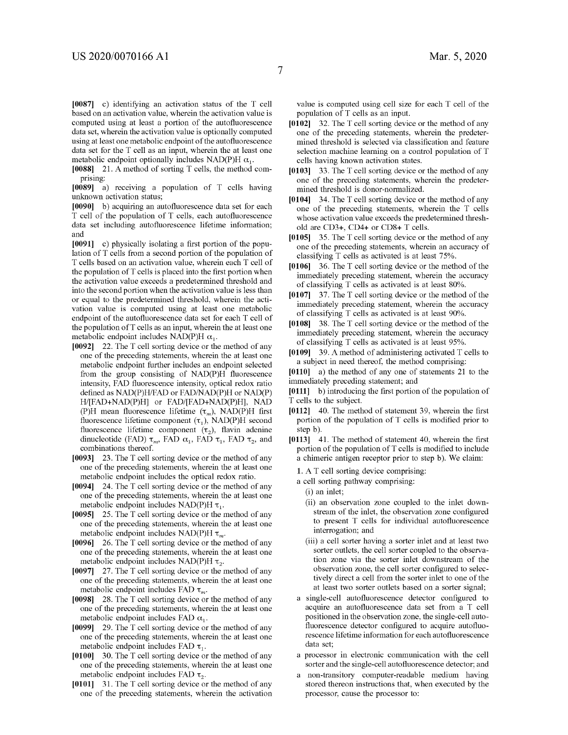**[0087]** c) identifying an activation status of the T cell based on an activation value, wherein the activation value is computed using at least a portion of the autofluorescence data set, wherein the activation value is optionally computed using at least one metabolic endpoint of the autofluorescence data set for the T cell as an input, wherein the at least one metabolic endpoint optionally includes NAD(P)H  $\alpha_1$ .

**[0088]** 21. A method of sorting T cells, the method comprising:

**[0089]** a) receiving a population of T cells having unknown activation status;

- **[0090]** b) acquiring an autofluorescence data set for each T cell of the population of T cells, each autofluorescence data set including autofluorescence lifetime information; and
- **[0091]** c) physically isolating a first portion of the population of T cells from a second portion of the population of T cells based on an activation value, wherein each T cell of the population of T cells is placed into the first portion when the activation value exceeds a predetermined threshold and into the second portion when the activation value is less than or equal to the predetermined threshold, wherein the activation value is computed using at least one metabolic endpoint of the autofluorescence data set for each T cell of the population ofT cells as an input, wherein the at least one metabolic endpoint includes NAD(P)H  $\alpha_1$ .
- **[0092]** 22. The T cell sorting device or the method of any one of the preceding statements, wherein the at least one metabolic endpoint further includes an endpoint selected from the group consisting of NAD(P)H fluorescence intensity, FAD fluorescence intensity, optical redox ratio defined as NAD(P)H/FAD or FAD/NAD(P)H or NAD(P) H/[FAD+NAD(P)H] or FAD/[FAD+NAD(P)H], NAD (P)H mean fluorescence lifetime  $(\tau_m)$ , NAD(P)H first fluorescence lifetime component  $(\tau_1)$ , NAD(P)H second fluorescence lifetime component  $(\tau_2)$ , flavin adenine dinucleotide (FAD)  $\tau_m$ , FAD  $\alpha_1$ , FAD  $\tau_1$ , FAD  $\tau_2$ , and combinations thereof.
- **[0093]** 23. The T cell sorting device or the method of any one of the preceding statements, wherein the at least one metabolic endpoint includes the optical redox ratio.
- **[0094]** 24. The T cell sorting device or the method of any one of the preceding statements, wherein the at least one metabolic endpoint includes NAD(P)H  $\tau_1$ .
- **[0095]** 25. The T cell sorting device or the method of any one of the preceding statements, wherein the at least one metabolic endpoint includes NAD(P)H  $\tau_m$ .
- **[0096]** 26. The T cell sorting device or the method of any one of the preceding statements, wherein the at least one metabolic endpoint includes NAD(P)H  $\tau_{2}$ .
- **[0097]** 27. The T cell sorting device or the method of any one of the preceding statements, wherein the at least one metabolic endpoint includes FAD  $\tau_m$ .
- **[0098]** 28. The T cell sorting device or the method of any one of the preceding statements, wherein the at least one metabolic endpoint includes FAD  $\alpha_1$ .
- **[0099]** 29. The T cell sorting device or the method of any one of the preceding statements, wherein the at least one metabolic endpoint includes FAD  $\tau_1$ .
- **[0100]** 30. The T cell sorting device or the method of any one of the preceding statements, wherein the at least one metabolic endpoint includes FAD  $\tau_2$ .
- **[0101]** 31. The T cell sorting device or the method of any one of the preceding statements, wherein the activation

value is computed using cell size for each T cell of the population of T cells as an input.

- **[0102]** 32. The T cell sorting device or the method of any one of the preceding statements, wherein the predetermined threshold is selected via classification and feature selection machine learning on a control population of T cells having known activation states.
- **[0103]** 33. The T cell sorting device or the method of any one of the preceding statements, wherein the predetermined threshold is donor-normalized.
- **[0104]** 34. The T cell sorting device or the method of any one of the preceding statements, wherein the T cells whose activation value exceeds the predetermined threshold are CD3+, CD4+ or CDS+ T cells.
- **[0105]** 35. The T cell sorting device or the method of any one of the preceding statements, wherein an accuracy of classifying T cells as activated is at least 75%.
- **[0106]** 36. The T cell sorting device or the method of the immediately preceding statement, wherein the accuracy of classifying T cells as activated is at least 80%.
- **[0107]** 37. The T cell sorting device or the method of the immediately preceding statement, wherein the accuracy of classifying T cells as activated is at least 90%.
- **[0108]** 38. The T cell sorting device or the method of the immediately preceding statement, wherein the accuracy of classifying T cells as activated is at least 95%.
- **[0109]** 39. A method of administering activated T cells to a subject in need thereof, the method comprising:

**[0110]** a) the method of any one of statements 21 to the immediately preceding statement; and

- **[0111]** b) introducing the first portion of the population of T cells to the subject.
- **[0112]** 40. The method of statement 39, wherein the first portion of the population of T cells is modified prior to step b).
- **[0113]** 41. The method of statement 40, wherein the first portion of the population of  $T$  cells is modified to include a chimeric antigen receptor prior to step b). We claim:
	- **1.** A T cell sorting device comprising:
	- a cell sorting pathway comprising:
		- (i) an inlet;
		- (ii) an observation zone coupled to the inlet downstream of the inlet, the observation zone configured to present T cells for individual autofluorescence interrogation; and
		- (iii) a cell sorter having a sorter inlet and at least two sorter outlets, the cell sorter coupled to the observation zone via the sorter inlet downstream of the observation zone, the cell sorter configured to selectively direct a cell from the sorter inlet to one of the at least two sorter outlets based on a sorter signal;
	- a single-cell autofluorescence detector configured to acquire an autofluorescence data set from a T cell positioned in the observation zone, the single-cell autofluorescence detector configured to acquire autofluorescence lifetime information for each autofluorescence data set;
	- a processor in electronic communication with the cell sorter and the single-cell autofluorescence detector; and
	- a non-transitory computer-readable medium having stored thereon instructions that, when executed by the processor, cause the processor to: